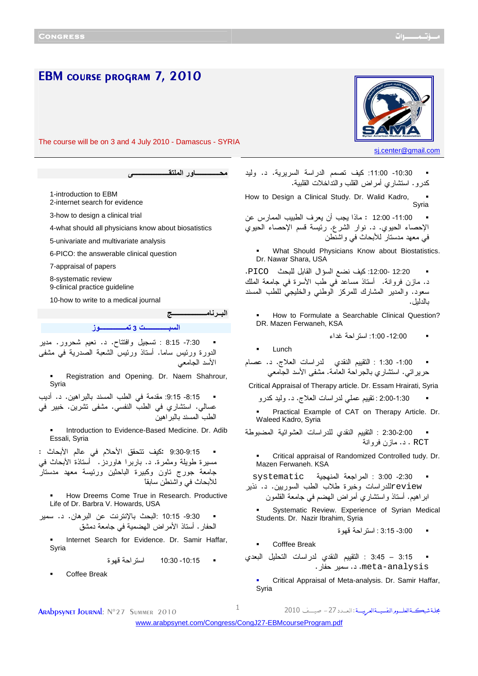EBM COURSE PROGRAM 7, 2010 The course will be on 3 and 4 July 2010 - Damascus - SYRIA sj.center@gmail.com  **-ــــــــــــــ
ور اـــــــــــــــــــــ** 1-introduction to EBM 2-internet search for evidence 3-how to design a clinical trial 4-what should all physicians know about biosatistics 5-univariate and multivariate analysis 6-PICO: the answerable clinical question 7-appraisal of papers 8-systematic review 9-clinical practice guideline 10-how to write to a medical journal ال**بـــر نــام ــــــــــــــــــــ اــــــــــــــ 3 ـــــــــــــــز** -7:30 8:15 : تسجيل وافتتاح د. . نعيم شحرور. مدير الدورة ورئيس ساما. أستاذ ورئيس الشعبة الصدرية في مشفى الأسد الجامعي Registration and Opening. Dr. Naem Shahrour, Syria 8:15- 9:15: مقدمة في الطب المسند بالبراهين. د. أديب عسالي. استشاري في الطب النفسي. مشفى تشرين. خبير في الطب المسند بالبراهين Introduction to Evidence-Based Medicine. Dr. Adib Essali, Syria 9:30-9:15 : كيف تتحقق الأحلام في عالم الأبحاث : مسيرة طويلة ومثمرة د. . باربرا هاوردز. أستاذة الأبحاث في جامعة جورج تاون وكبيرة الباحثين ورئيسة معهد مدستار للأبحاث في واشنطن سابقاً How Dreems Come True in Research. Productive Life of Dr. Barbra V. Howards, USA 9:30 - 10:15 : البحث بالإنترنت عن البرهان د. . سمير الحفار. أستاذ الأمراض الهضمية في جامعة دمشق Internet Search for Evidence. Dr. Samir Haffar, Syria 10:15 - 10:30 استراحة قهوة Coffee Break -10:30 :11:00 كيف تصمم الدراسة السريرية. د. وليد كدرو. استشاري أمراض القلب والتداخلات القلبية . How to Design a Clinical Study. Dr. Walid Kadro, Syria -11:00 12:00 : ماذا يجب أن يعرف الطبيب الممارس عن الإحصاء الحيوي د. . نوار الشرع. رئيسة قسم الإحصاء الحيوي في معهد مدستار للأبحاث في واشنطن What Should Physicians Know about Biostatistics. Dr. Nawar Shara, USA 12:20 :12:00- كيف نضع السؤال القابل للبحث PICO. د. مازن فروانة . أستاذ مساعد في طب الأسرة في جامعة الملك سعود. والمدير المشارك للمركز الوطني والخليجي للطب المسند بالدليل. How to Formulate a Searchable Clinical Question? DR. Mazen Ferwaneh, KSA 12:00 - :1:00 استراحة غداء **Lunch** 1:00- 1:30 : النقييم النقدي لدر اسات العلاج. د. عصام حريراتي. استشاري بالجراحة العامة. مشفى الأسد الجامعي Critical Appraisal of Therapy article. Dr. Essam Hrairati, Syria 2:00-1:30 : تقييم عملي لدراسات العلاج . د. وليد كدرو Practical Example of CAT on Therapy Article. Dr. Waleed Kadro, Syria 2:30-2:00 : التقييم النقدي للدراسات العشوائية المضبوطة RCT . د. مازن فروانة Critical appraisal of Randomized Controlled tudy. Dr. Mazen Ferwaneh. KSA 2:30 - 3:00 : المراجعة المنهجية systematic reviewللدراسات وخبرة طلاب الطب السوريين د. . نذير ابراهيم. أستاذ واستشاري أمراض الهضم في جامعة القلمون Systematic Review. Experience of Syrian Medical Students. Dr. Nazir Ibrahim, Syria 3:00 - 3:15 : استراحة قهوة Cofffee Break 3:15 – 3:45 : التقييم النقدي لدراسات التحليل البعدي meta-analysis. د. سمير حفار. Critical Appraisal of Meta-analysis. Dr. Samir Haffar, Syria مجلة شبكةالعلــوم النفسيــةالعربيـــة : ال **ARADDSYNET JOURNAL:** N°27 SUMMER 2010 1

<www.arabpsynet.com/Congress/CongJ27-EBMcourseProgram.pdf>